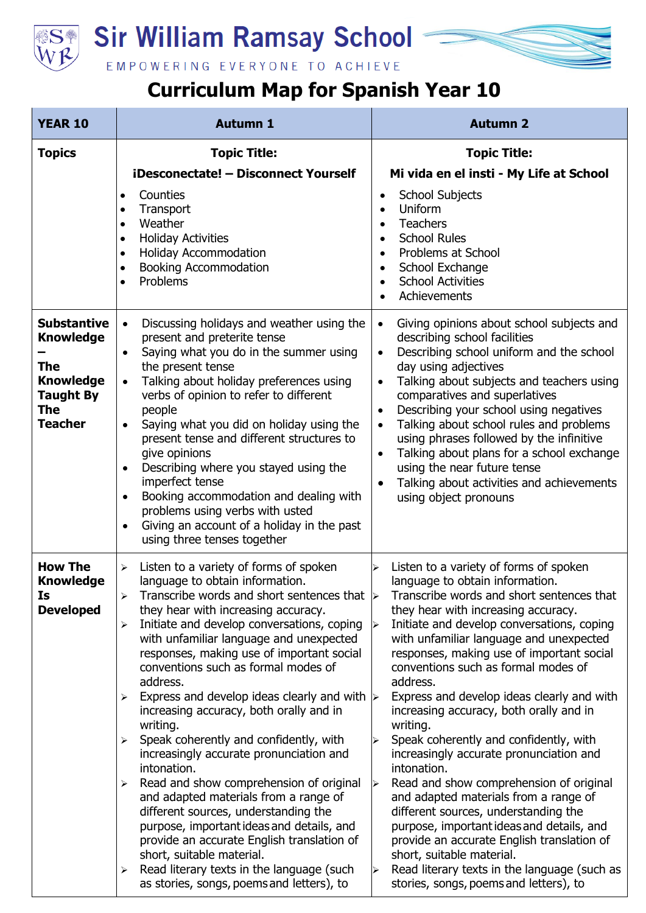

## **Sir William Ramsay School**

EMPOWERING EVERYONE TO ACHIEVE

## **Curriculum Map for Spanish Year 10**

| <b>YEAR 10</b>                                                       | <b>Autumn 1</b>                                                                                                                                                                                                                                                                                                                                                                                    | <b>Autumn 2</b>                                                                                                                                                                                                                                                                                                                                                                                      |
|----------------------------------------------------------------------|----------------------------------------------------------------------------------------------------------------------------------------------------------------------------------------------------------------------------------------------------------------------------------------------------------------------------------------------------------------------------------------------------|------------------------------------------------------------------------------------------------------------------------------------------------------------------------------------------------------------------------------------------------------------------------------------------------------------------------------------------------------------------------------------------------------|
| <b>Topics</b>                                                        | <b>Topic Title:</b>                                                                                                                                                                                                                                                                                                                                                                                | <b>Topic Title:</b>                                                                                                                                                                                                                                                                                                                                                                                  |
|                                                                      | iDesconectate! - Disconnect Yourself                                                                                                                                                                                                                                                                                                                                                               | Mi vida en el insti - My Life at School                                                                                                                                                                                                                                                                                                                                                              |
|                                                                      | Counties<br>Transport<br>$\bullet$<br>Weather<br>$\bullet$<br><b>Holiday Activities</b><br>$\bullet$<br><b>Holiday Accommodation</b><br>$\bullet$<br><b>Booking Accommodation</b><br>$\bullet$<br>Problems<br>$\bullet$                                                                                                                                                                            | <b>School Subjects</b><br>$\bullet$<br>Uniform<br><b>Teachers</b><br>$\bullet$<br><b>School Rules</b><br>$\bullet$<br>Problems at School<br>$\bullet$<br>School Exchange<br>$\bullet$<br><b>School Activities</b><br>$\bullet$<br>Achievements                                                                                                                                                       |
| <b>Substantive</b><br><b>Knowledge</b><br><b>The</b>                 | Discussing holidays and weather using the<br>$\bullet$<br>present and preterite tense<br>Saying what you do in the summer using<br>the present tense                                                                                                                                                                                                                                               | Giving opinions about school subjects and<br>$\bullet$<br>describing school facilities<br>Describing school uniform and the school<br>day using adjectives                                                                                                                                                                                                                                           |
| <b>Knowledge</b><br><b>Taught By</b><br><b>The</b><br><b>Teacher</b> | Talking about holiday preferences using<br>$\bullet$<br>verbs of opinion to refer to different<br>people<br>Saying what you did on holiday using the<br>$\bullet$<br>present tense and different structures to<br>give opinions<br>Describing where you stayed using the<br>$\bullet$<br>imperfect tense<br>Booking accommodation and dealing with<br>$\bullet$<br>problems using verbs with usted | Talking about subjects and teachers using<br>$\bullet$<br>comparatives and superlatives<br>Describing your school using negatives<br>$\bullet$<br>Talking about school rules and problems<br>using phrases followed by the infinitive<br>Talking about plans for a school exchange<br>$\bullet$<br>using the near future tense<br>Talking about activities and achievements<br>using object pronouns |
|                                                                      | Giving an account of a holiday in the past<br>$\bullet$<br>using three tenses together                                                                                                                                                                                                                                                                                                             |                                                                                                                                                                                                                                                                                                                                                                                                      |
| <b>How The</b><br><b>Knowledge</b><br>Is.                            | Listen to a variety of forms of spoken<br>$\blacktriangleright$<br>language to obtain information.<br>$\blacktriangleright$                                                                                                                                                                                                                                                                        | Listen to a variety of forms of spoken<br>↘<br>language to obtain information.<br>Transcribe words and short sentences that $\triangleright$ Transcribe words and short sentences that                                                                                                                                                                                                               |
| <b>Developed</b>                                                     | they hear with increasing accuracy.<br>Initiate and develop conversations, coping<br>$\blacktriangleright$<br>with unfamiliar language and unexpected<br>responses, making use of important social<br>conventions such as formal modes of<br>address.                                                                                                                                              | they hear with increasing accuracy.<br>Initiate and develop conversations, coping<br>➤<br>with unfamiliar language and unexpected<br>responses, making use of important social<br>conventions such as formal modes of<br>address.                                                                                                                                                                    |
|                                                                      | Express and develop ideas clearly and with $\triangleright$<br>➤<br>increasing accuracy, both orally and in<br>writing.                                                                                                                                                                                                                                                                            | Express and develop ideas clearly and with<br>increasing accuracy, both orally and in<br>writing.                                                                                                                                                                                                                                                                                                    |
|                                                                      | Speak coherently and confidently, with<br>⋗<br>increasingly accurate pronunciation and<br>intonation.                                                                                                                                                                                                                                                                                              | Speak coherently and confidently, with<br>increasingly accurate pronunciation and<br>intonation.                                                                                                                                                                                                                                                                                                     |
|                                                                      | Read and show comprehension of original<br>⋗<br>and adapted materials from a range of<br>different sources, understanding the<br>purpose, important ideas and details, and<br>provide an accurate English translation of<br>short, suitable material.                                                                                                                                              | Read and show comprehension of original<br>$\blacktriangleright$<br>and adapted materials from a range of<br>different sources, understanding the<br>purpose, important ideas and details, and<br>provide an accurate English translation of<br>short, suitable material.                                                                                                                            |
|                                                                      | Read literary texts in the language (such<br>$\blacktriangleright$<br>as stories, songs, poems and letters), to                                                                                                                                                                                                                                                                                    | Read literary texts in the language (such as<br>⋗<br>stories, songs, poems and letters), to                                                                                                                                                                                                                                                                                                          |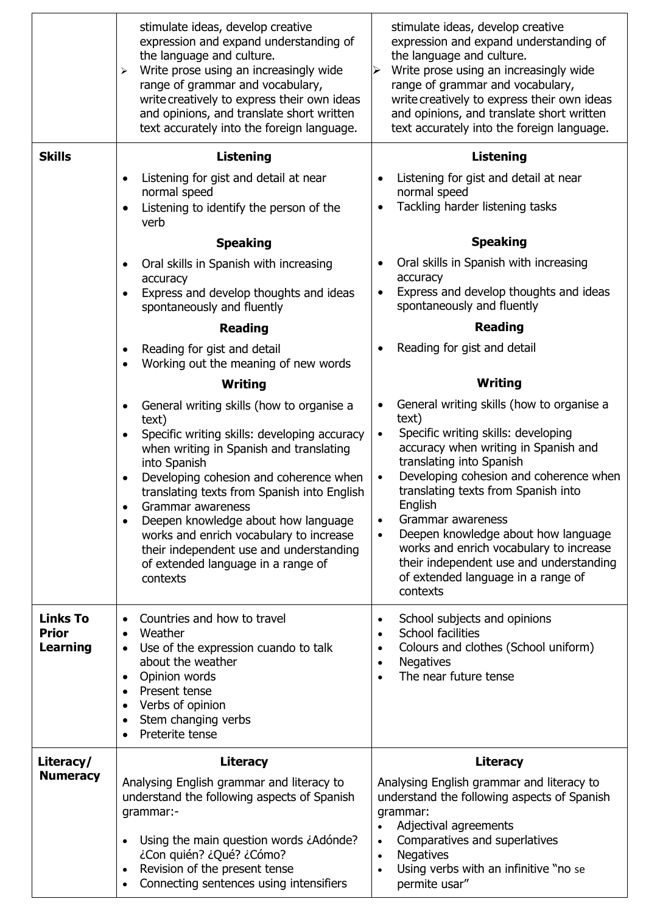|                                                    | stimulate ideas, develop creative<br>expression and expand understanding of<br>the language and culture.<br>Write prose using an increasingly wide<br>$\blacktriangleright$<br>range of grammar and vocabulary,<br>write creatively to express their own ideas<br>and opinions, and translate short written<br>text accurately into the foreign language.                                 | stimulate ideas, develop creative<br>expression and expand understanding of<br>the language and culture.<br>Write prose using an increasingly wide<br>range of grammar and vocabulary,<br>write creatively to express their own ideas<br>and opinions, and translate short written<br>text accurately into the foreign language.                                                             |
|----------------------------------------------------|-------------------------------------------------------------------------------------------------------------------------------------------------------------------------------------------------------------------------------------------------------------------------------------------------------------------------------------------------------------------------------------------|----------------------------------------------------------------------------------------------------------------------------------------------------------------------------------------------------------------------------------------------------------------------------------------------------------------------------------------------------------------------------------------------|
| <b>Skills</b>                                      | <b>Listening</b>                                                                                                                                                                                                                                                                                                                                                                          | <b>Listening</b>                                                                                                                                                                                                                                                                                                                                                                             |
|                                                    | Listening for gist and detail at near                                                                                                                                                                                                                                                                                                                                                     | Listening for gist and detail at near                                                                                                                                                                                                                                                                                                                                                        |
|                                                    | normal speed<br>Listening to identify the person of the<br>$\bullet$<br>verb                                                                                                                                                                                                                                                                                                              | normal speed<br>Tackling harder listening tasks<br>$\bullet$                                                                                                                                                                                                                                                                                                                                 |
|                                                    | <b>Speaking</b>                                                                                                                                                                                                                                                                                                                                                                           | <b>Speaking</b>                                                                                                                                                                                                                                                                                                                                                                              |
|                                                    | Oral skills in Spanish with increasing<br>$\bullet$                                                                                                                                                                                                                                                                                                                                       | Oral skills in Spanish with increasing                                                                                                                                                                                                                                                                                                                                                       |
|                                                    | accuracy<br>Express and develop thoughts and ideas<br>$\bullet$<br>spontaneously and fluently                                                                                                                                                                                                                                                                                             | accuracy<br>Express and develop thoughts and ideas<br>$\bullet$<br>spontaneously and fluently                                                                                                                                                                                                                                                                                                |
|                                                    | <b>Reading</b>                                                                                                                                                                                                                                                                                                                                                                            | <b>Reading</b>                                                                                                                                                                                                                                                                                                                                                                               |
|                                                    | Reading for gist and detail<br>Working out the meaning of new words<br>$\bullet$                                                                                                                                                                                                                                                                                                          | Reading for gist and detail                                                                                                                                                                                                                                                                                                                                                                  |
|                                                    | <b>Writing</b>                                                                                                                                                                                                                                                                                                                                                                            | Writing                                                                                                                                                                                                                                                                                                                                                                                      |
|                                                    | General writing skills (how to organise a<br>text)                                                                                                                                                                                                                                                                                                                                        | General writing skills (how to organise a<br>text)                                                                                                                                                                                                                                                                                                                                           |
|                                                    | Specific writing skills: developing accuracy<br>$\bullet$<br>when writing in Spanish and translating<br>into Spanish<br>Developing cohesion and coherence when<br>translating texts from Spanish into English<br>Grammar awareness<br>$\bullet$<br>Deepen knowledge about how language<br>$\bullet$<br>works and enrich vocabulary to increase<br>their independent use and understanding | Specific writing skills: developing<br>$\bullet$<br>accuracy when writing in Spanish and<br>translating into Spanish<br>Developing cohesion and coherence when<br>translating texts from Spanish into<br>English<br>Grammar awareness<br>$\bullet$<br>Deepen knowledge about how language<br>$\bullet$<br>works and enrich vocabulary to increase<br>their independent use and understanding |
|                                                    | of extended language in a range of<br>contexts                                                                                                                                                                                                                                                                                                                                            | of extended language in a range of<br>contexts                                                                                                                                                                                                                                                                                                                                               |
| <b>Links To</b><br><b>Prior</b><br><b>Learning</b> | Countries and how to travel<br>Weather<br>Use of the expression cuando to talk<br>about the weather<br>Opinion words<br>$\bullet$<br>Present tense<br>$\bullet$<br>Verbs of opinion<br>$\bullet$<br>Stem changing verbs<br>$\bullet$<br>Preterite tense<br>$\bullet$                                                                                                                      | School subjects and opinions<br>$\bullet$<br><b>School facilities</b><br>$\bullet$<br>Colours and clothes (School uniform)<br>$\bullet$<br><b>Negatives</b><br>$\bullet$<br>The near future tense<br>$\bullet$                                                                                                                                                                               |
| Literacy/                                          | <b>Literacy</b>                                                                                                                                                                                                                                                                                                                                                                           | <b>Literacy</b>                                                                                                                                                                                                                                                                                                                                                                              |
| <b>Numeracy</b>                                    | Analysing English grammar and literacy to<br>understand the following aspects of Spanish<br>grammar:-<br>Using the main question words ¿Adónde?<br>$\bullet$<br>¿Con quién? ¿Qué? ¿Cómo?<br>Revision of the present tense                                                                                                                                                                 | Analysing English grammar and literacy to<br>understand the following aspects of Spanish<br>grammar:<br>Adjectival agreements<br>$\bullet$<br>Comparatives and superlatives<br>$\bullet$<br><b>Negatives</b><br>$\bullet$<br>Using verbs with an infinitive "no se                                                                                                                           |
|                                                    | Connecting sentences using intensifiers                                                                                                                                                                                                                                                                                                                                                   | permite usar"                                                                                                                                                                                                                                                                                                                                                                                |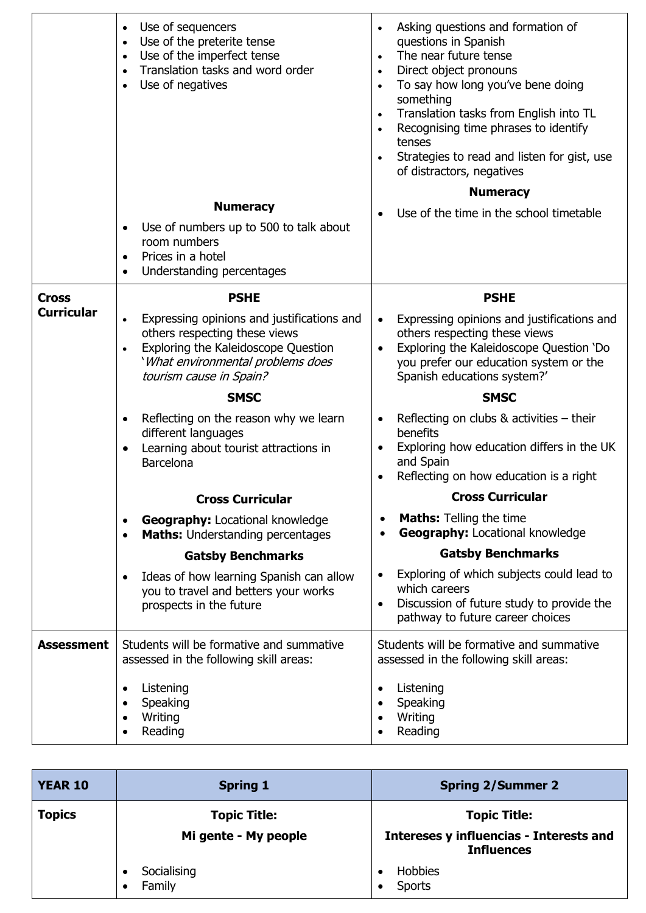|                   | Use of sequencers<br>$\bullet$<br>Use of the preterite tense<br>$\bullet$<br>Use of the imperfect tense<br>$\bullet$<br>Translation tasks and word order<br>$\bullet$<br>Use of negatives<br>$\bullet$       | Asking questions and formation of<br>$\bullet$<br>questions in Spanish<br>The near future tense<br>$\bullet$<br>Direct object pronouns<br>$\bullet$<br>To say how long you've bene doing<br>$\bullet$<br>something<br>Translation tasks from English into TL<br>$\bullet$<br>Recognising time phrases to identify<br>$\bullet$<br>tenses<br>Strategies to read and listen for gist, use<br>of distractors, negatives<br><b>Numeracy</b> |
|-------------------|--------------------------------------------------------------------------------------------------------------------------------------------------------------------------------------------------------------|-----------------------------------------------------------------------------------------------------------------------------------------------------------------------------------------------------------------------------------------------------------------------------------------------------------------------------------------------------------------------------------------------------------------------------------------|
|                   | <b>Numeracy</b>                                                                                                                                                                                              |                                                                                                                                                                                                                                                                                                                                                                                                                                         |
|                   | Use of numbers up to 500 to talk about<br>$\bullet$<br>room numbers<br>Prices in a hotel<br>$\bullet$<br>Understanding percentages<br>$\bullet$                                                              | Use of the time in the school timetable                                                                                                                                                                                                                                                                                                                                                                                                 |
| <b>Cross</b>      | <b>PSHE</b>                                                                                                                                                                                                  | <b>PSHE</b>                                                                                                                                                                                                                                                                                                                                                                                                                             |
| <b>Curricular</b> | Expressing opinions and justifications and<br>$\bullet$<br>others respecting these views<br>Exploring the Kaleidoscope Question<br>$\bullet$<br>'What environmental problems does<br>tourism cause in Spain? | Expressing opinions and justifications and<br>$\bullet$<br>others respecting these views<br>Exploring the Kaleidoscope Question 'Do<br>$\bullet$<br>you prefer our education system or the<br>Spanish educations system?'                                                                                                                                                                                                               |
|                   | <b>SMSC</b>                                                                                                                                                                                                  | <b>SMSC</b>                                                                                                                                                                                                                                                                                                                                                                                                                             |
|                   | Reflecting on the reason why we learn<br>$\bullet$<br>different languages<br>Learning about tourist attractions in<br>$\bullet$<br><b>Barcelona</b>                                                          | Reflecting on clubs $&$ activities $-$ their<br>$\bullet$<br>benefits<br>Exploring how education differs in the UK<br>$\bullet$<br>and Spain<br>Reflecting on how education is a right                                                                                                                                                                                                                                                  |
|                   | <b>Cross Curricular</b>                                                                                                                                                                                      | <b>Cross Curricular</b>                                                                                                                                                                                                                                                                                                                                                                                                                 |
|                   | <b>Geography: Locational knowledge</b><br>$\bullet$<br><b>Maths:</b> Understanding percentages<br>$\bullet$                                                                                                  | <b>Maths:</b> Telling the time<br><b>Geography: Locational knowledge</b>                                                                                                                                                                                                                                                                                                                                                                |
|                   | <b>Gatsby Benchmarks</b>                                                                                                                                                                                     | <b>Gatsby Benchmarks</b>                                                                                                                                                                                                                                                                                                                                                                                                                |
|                   | Ideas of how learning Spanish can allow<br>$\bullet$<br>you to travel and betters your works<br>prospects in the future                                                                                      | Exploring of which subjects could lead to<br>$\bullet$<br>which careers<br>Discussion of future study to provide the<br>$\bullet$<br>pathway to future career choices                                                                                                                                                                                                                                                                   |
| <b>Assessment</b> | Students will be formative and summative<br>assessed in the following skill areas:                                                                                                                           | Students will be formative and summative<br>assessed in the following skill areas:                                                                                                                                                                                                                                                                                                                                                      |
|                   | Listening<br>$\bullet$<br>Speaking<br>$\bullet$<br>Writing<br>$\bullet$<br>Reading<br>$\bullet$                                                                                                              | Listening<br>$\bullet$<br>Speaking<br>$\bullet$<br>Writing<br>$\bullet$<br>Reading                                                                                                                                                                                                                                                                                                                                                      |

| <b>YEAR 10</b> | <b>Spring 1</b>                    | <b>Spring 2/Summer 2</b>                                            |
|----------------|------------------------------------|---------------------------------------------------------------------|
| <b>Topics</b>  | <b>Topic Title:</b>                | <b>Topic Title:</b>                                                 |
|                | Mi gente - My people               | <b>Intereses y influencias - Interests and</b><br><b>Influences</b> |
|                | Socialising<br>$\bullet$<br>Family | Hobbies<br>Sports                                                   |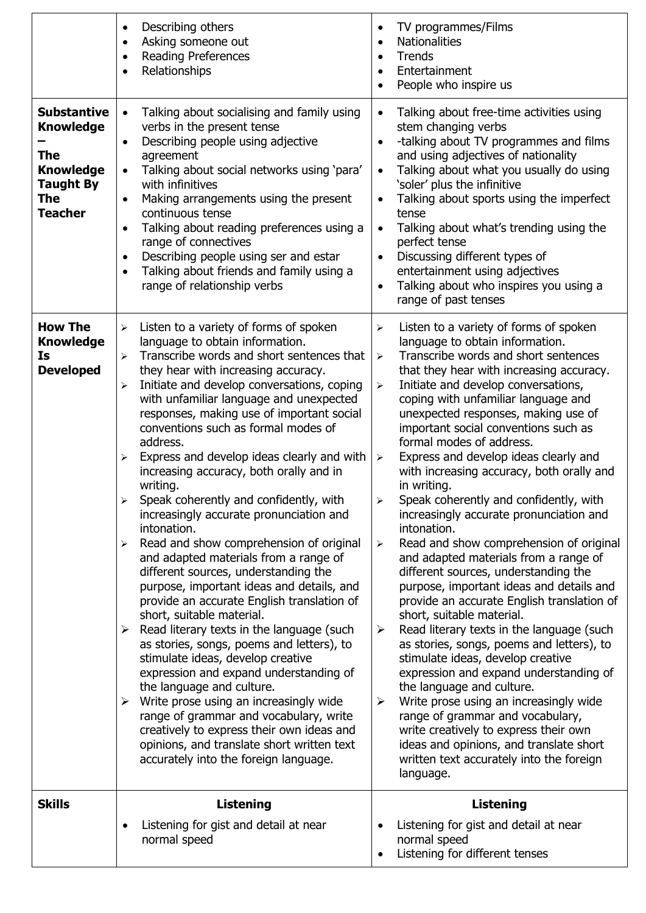|                                                                                                                | Describing others<br>$\bullet$<br>Asking someone out<br>$\bullet$<br><b>Reading Preferences</b><br>$\bullet$<br>Relationships<br>$\bullet$                                                                                                                                                                                                                                                                                                                                                                                                                                                                                                                                                                                                                                                                                                                                                                                                                                                                                                                                                                                                                                                                                                                                                                                                           | TV programmes/Films<br>$\bullet$<br><b>Nationalities</b><br>$\bullet$<br><b>Trends</b><br>$\bullet$<br>Entertainment<br>$\bullet$<br>People who inspire us                                                                                                                                                                                                                                                                                                                                                                                                                                                                                                                                                                                                                                                                                                                                                                                                                                                                                                                                                                                                                                                                                                                                                                                                                                                     |
|----------------------------------------------------------------------------------------------------------------|------------------------------------------------------------------------------------------------------------------------------------------------------------------------------------------------------------------------------------------------------------------------------------------------------------------------------------------------------------------------------------------------------------------------------------------------------------------------------------------------------------------------------------------------------------------------------------------------------------------------------------------------------------------------------------------------------------------------------------------------------------------------------------------------------------------------------------------------------------------------------------------------------------------------------------------------------------------------------------------------------------------------------------------------------------------------------------------------------------------------------------------------------------------------------------------------------------------------------------------------------------------------------------------------------------------------------------------------------|----------------------------------------------------------------------------------------------------------------------------------------------------------------------------------------------------------------------------------------------------------------------------------------------------------------------------------------------------------------------------------------------------------------------------------------------------------------------------------------------------------------------------------------------------------------------------------------------------------------------------------------------------------------------------------------------------------------------------------------------------------------------------------------------------------------------------------------------------------------------------------------------------------------------------------------------------------------------------------------------------------------------------------------------------------------------------------------------------------------------------------------------------------------------------------------------------------------------------------------------------------------------------------------------------------------------------------------------------------------------------------------------------------------|
| <b>Substantive</b><br><b>Knowledge</b><br>The<br><b>Knowledge</b><br><b>Taught By</b><br>The<br><b>Teacher</b> | Talking about socialising and family using<br>verbs in the present tense<br>Describing people using adjective<br>$\bullet$<br>agreement<br>Talking about social networks using 'para'<br>with infinitives<br>Making arrangements using the present<br>$\bullet$<br>continuous tense<br>Talking about reading preferences using a<br>range of connectives<br>Describing people using ser and estar<br>$\bullet$<br>Talking about friends and family using a<br>$\bullet$<br>range of relationship verbs                                                                                                                                                                                                                                                                                                                                                                                                                                                                                                                                                                                                                                                                                                                                                                                                                                               | Talking about free-time activities using<br>stem changing verbs<br>-talking about TV programmes and films<br>$\bullet$<br>and using adjectives of nationality<br>Talking about what you usually do using<br>'soler' plus the infinitive<br>Talking about sports using the imperfect<br>$\bullet$<br>tense<br>Talking about what's trending using the<br>perfect tense<br>Discussing different types of<br>$\bullet$<br>entertainment using adjectives<br>Talking about who inspires you using a<br>$\bullet$<br>range of past tenses                                                                                                                                                                                                                                                                                                                                                                                                                                                                                                                                                                                                                                                                                                                                                                                                                                                                           |
| <b>How The</b><br><b>Knowledge</b><br>Is<br><b>Developed</b>                                                   | Listen to a variety of forms of spoken<br>➤<br>language to obtain information.<br>Transcribe words and short sentences that<br>$\blacktriangleright$<br>they hear with increasing accuracy.<br>Initiate and develop conversations, coping<br>⋗<br>with unfamiliar language and unexpected<br>responses, making use of important social<br>conventions such as formal modes of<br>address.<br>Express and develop ideas clearly and with<br>⋗<br>increasing accuracy, both orally and in<br>writing.<br>Speak coherently and confidently, with<br>increasingly accurate pronunciation and<br>intonation.<br>Read and show comprehension of original<br>$\blacktriangleright$<br>and adapted materials from a range of<br>different sources, understanding the<br>purpose, important ideas and details, and<br>provide an accurate English translation of<br>short, suitable material.<br>$\triangleright$ Read literary texts in the language (such<br>as stories, songs, poems and letters), to<br>stimulate ideas, develop creative<br>expression and expand understanding of<br>the language and culture.<br>$\triangleright$ Write prose using an increasingly wide<br>range of grammar and vocabulary, write<br>creatively to express their own ideas and<br>opinions, and translate short written text<br>accurately into the foreign language. | Listen to a variety of forms of spoken<br>$\blacktriangleright$<br>language to obtain information.<br>Transcribe words and short sentences<br>$\blacktriangleright$<br>that they hear with increasing accuracy.<br>Initiate and develop conversations,<br>$\blacktriangleright$<br>coping with unfamiliar language and<br>unexpected responses, making use of<br>important social conventions such as<br>formal modes of address.<br>Express and develop ideas clearly and<br>$\blacktriangleright$<br>with increasing accuracy, both orally and<br>in writing.<br>Speak coherently and confidently, with<br>increasingly accurate pronunciation and<br>intonation.<br>Read and show comprehension of original<br>$\blacktriangleright$<br>and adapted materials from a range of<br>different sources, understanding the<br>purpose, important ideas and details and<br>provide an accurate English translation of<br>short, suitable material.<br>Read literary texts in the language (such<br>$\blacktriangleright$<br>as stories, songs, poems and letters), to<br>stimulate ideas, develop creative<br>expression and expand understanding of<br>the language and culture.<br>Write prose using an increasingly wide<br>➤<br>range of grammar and vocabulary,<br>write creatively to express their own<br>ideas and opinions, and translate short<br>written text accurately into the foreign<br>language. |
| <b>Skills</b>                                                                                                  | <b>Listening</b>                                                                                                                                                                                                                                                                                                                                                                                                                                                                                                                                                                                                                                                                                                                                                                                                                                                                                                                                                                                                                                                                                                                                                                                                                                                                                                                                     | <b>Listening</b>                                                                                                                                                                                                                                                                                                                                                                                                                                                                                                                                                                                                                                                                                                                                                                                                                                                                                                                                                                                                                                                                                                                                                                                                                                                                                                                                                                                               |
|                                                                                                                | Listening for gist and detail at near<br>$\bullet$<br>normal speed                                                                                                                                                                                                                                                                                                                                                                                                                                                                                                                                                                                                                                                                                                                                                                                                                                                                                                                                                                                                                                                                                                                                                                                                                                                                                   | Listening for gist and detail at near<br>normal speed<br>Listening for different tenses                                                                                                                                                                                                                                                                                                                                                                                                                                                                                                                                                                                                                                                                                                                                                                                                                                                                                                                                                                                                                                                                                                                                                                                                                                                                                                                        |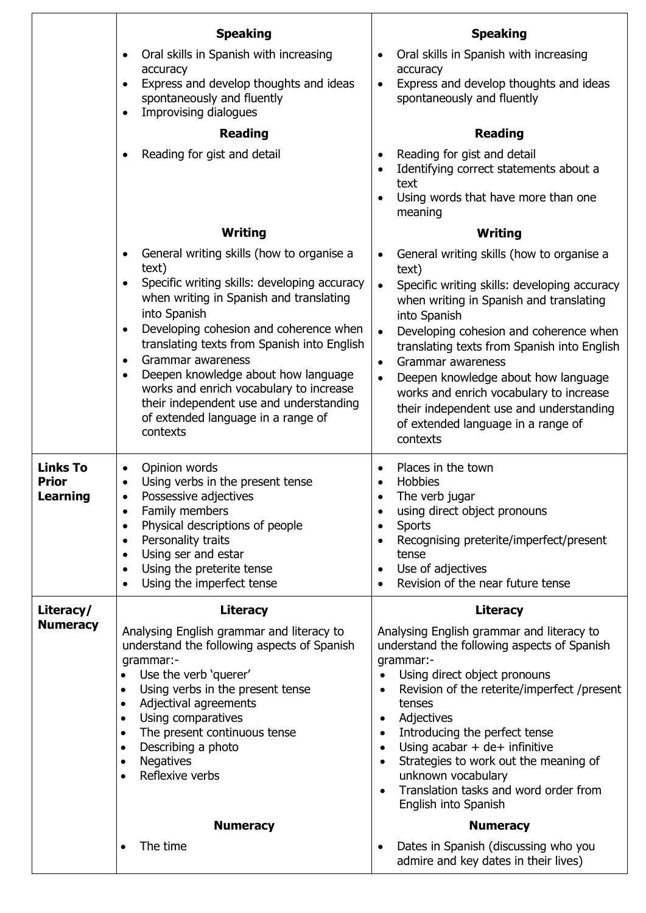|                                             | <b>Speaking</b>                                                                                                                                                                                                                                                                                                                                                                                                        | <b>Speaking</b>                                                                                                                                                                                                                                                                                                                                                                                                                                                      |
|---------------------------------------------|------------------------------------------------------------------------------------------------------------------------------------------------------------------------------------------------------------------------------------------------------------------------------------------------------------------------------------------------------------------------------------------------------------------------|----------------------------------------------------------------------------------------------------------------------------------------------------------------------------------------------------------------------------------------------------------------------------------------------------------------------------------------------------------------------------------------------------------------------------------------------------------------------|
|                                             | Oral skills in Spanish with increasing<br>٠                                                                                                                                                                                                                                                                                                                                                                            | Oral skills in Spanish with increasing                                                                                                                                                                                                                                                                                                                                                                                                                               |
|                                             | accuracy<br>Express and develop thoughts and ideas<br>$\bullet$                                                                                                                                                                                                                                                                                                                                                        | accuracy<br>Express and develop thoughts and ideas<br>$\bullet$                                                                                                                                                                                                                                                                                                                                                                                                      |
|                                             | spontaneously and fluently<br>Improvising dialogues                                                                                                                                                                                                                                                                                                                                                                    | spontaneously and fluently                                                                                                                                                                                                                                                                                                                                                                                                                                           |
|                                             | <b>Reading</b>                                                                                                                                                                                                                                                                                                                                                                                                         | <b>Reading</b>                                                                                                                                                                                                                                                                                                                                                                                                                                                       |
|                                             | Reading for gist and detail<br>٠                                                                                                                                                                                                                                                                                                                                                                                       | Reading for gist and detail<br>Identifying correct statements about a<br>text                                                                                                                                                                                                                                                                                                                                                                                        |
|                                             |                                                                                                                                                                                                                                                                                                                                                                                                                        | Using words that have more than one<br>meaning                                                                                                                                                                                                                                                                                                                                                                                                                       |
|                                             | Writing                                                                                                                                                                                                                                                                                                                                                                                                                | Writing                                                                                                                                                                                                                                                                                                                                                                                                                                                              |
|                                             | General writing skills (how to organise a<br>$\bullet$<br>text)                                                                                                                                                                                                                                                                                                                                                        | General writing skills (how to organise a<br>$\bullet$<br>text)                                                                                                                                                                                                                                                                                                                                                                                                      |
|                                             | Specific writing skills: developing accuracy<br>when writing in Spanish and translating<br>into Spanish                                                                                                                                                                                                                                                                                                                | Specific writing skills: developing accuracy<br>$\bullet$<br>when writing in Spanish and translating<br>into Spanish                                                                                                                                                                                                                                                                                                                                                 |
|                                             | Developing cohesion and coherence when<br>$\bullet$                                                                                                                                                                                                                                                                                                                                                                    | Developing cohesion and coherence when<br>$\bullet$                                                                                                                                                                                                                                                                                                                                                                                                                  |
|                                             | translating texts from Spanish into English<br>Grammar awareness<br>$\bullet$                                                                                                                                                                                                                                                                                                                                          | translating texts from Spanish into English<br>Grammar awareness<br>$\bullet$                                                                                                                                                                                                                                                                                                                                                                                        |
|                                             | Deepen knowledge about how language<br>$\bullet$<br>works and enrich vocabulary to increase<br>their independent use and understanding<br>of extended language in a range of<br>contexts                                                                                                                                                                                                                               | Deepen knowledge about how language<br>$\bullet$<br>works and enrich vocabulary to increase<br>their independent use and understanding<br>of extended language in a range of<br>contexts                                                                                                                                                                                                                                                                             |
| <b>Links To</b><br><b>Prior</b><br>Learning | Opinion words<br>$\bullet$<br>Using verbs in the present tense<br>Possessive adjectives<br>Family members<br>$\bullet$<br>Physical descriptions of people<br>$\bullet$<br>Personality traits<br>$\bullet$<br>Using ser and estar<br>$\bullet$<br>Using the preterite tense<br>$\bullet$<br>Using the imperfect tense<br>٠                                                                                              | Places in the town<br>$\bullet$<br>Hobbies<br>The verb jugar<br>using direct object pronouns<br><b>Sports</b><br>$\bullet$<br>Recognising preterite/imperfect/present<br>$\bullet$<br>tense<br>Use of adjectives<br>$\bullet$<br>Revision of the near future tense                                                                                                                                                                                                   |
| Literacy/                                   | <b>Literacy</b>                                                                                                                                                                                                                                                                                                                                                                                                        | <b>Literacy</b>                                                                                                                                                                                                                                                                                                                                                                                                                                                      |
| <b>Numeracy</b>                             | Analysing English grammar and literacy to<br>understand the following aspects of Spanish<br>grammar:-<br>Use the verb 'querer'<br>$\bullet$<br>Using verbs in the present tense<br>$\bullet$<br>Adjectival agreements<br>$\bullet$<br>Using comparatives<br>$\bullet$<br>The present continuous tense<br>$\bullet$<br>Describing a photo<br>$\bullet$<br><b>Negatives</b><br>$\bullet$<br>Reflexive verbs<br>$\bullet$ | Analysing English grammar and literacy to<br>understand the following aspects of Spanish<br>grammar:-<br>Using direct object pronouns<br>Revision of the reterite/imperfect /present<br>tenses<br>Adjectives<br>$\bullet$<br>Introducing the perfect tense<br>$\bullet$<br>Using $acabar + de+$ infinitive<br>$\bullet$<br>Strategies to work out the meaning of<br>$\bullet$<br>unknown vocabulary<br>Translation tasks and word order from<br>English into Spanish |
|                                             | <b>Numeracy</b>                                                                                                                                                                                                                                                                                                                                                                                                        | <b>Numeracy</b>                                                                                                                                                                                                                                                                                                                                                                                                                                                      |
|                                             | The time<br>$\bullet$                                                                                                                                                                                                                                                                                                                                                                                                  | Dates in Spanish (discussing who you<br>admire and key dates in their lives)                                                                                                                                                                                                                                                                                                                                                                                         |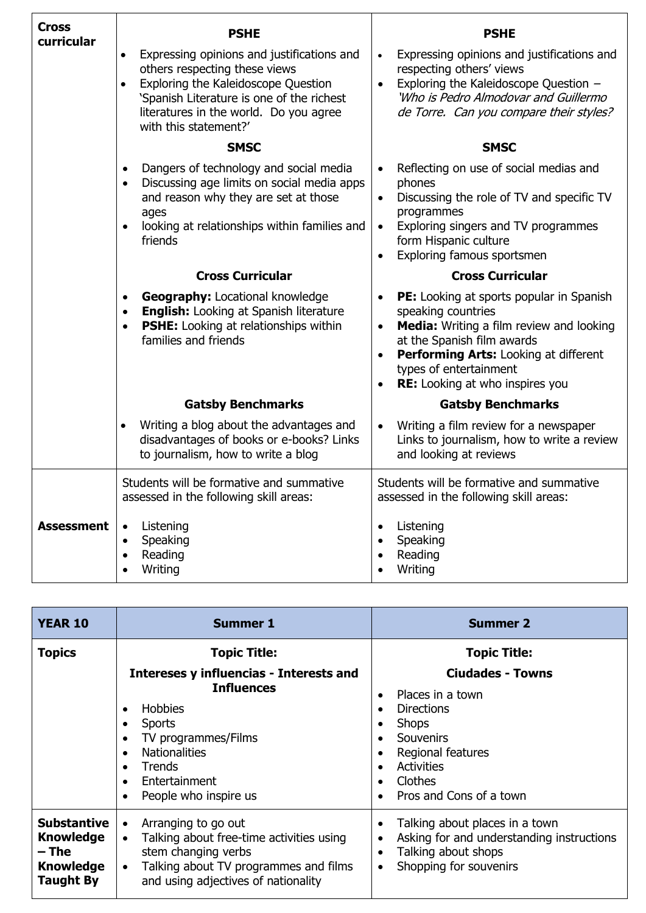| <b>Cross</b><br>curricular | <b>PSHE</b>                                                                                                                                                                                                                                                  | <b>PSHE</b>                                                                                                                                                                                                                                                                                        |
|----------------------------|--------------------------------------------------------------------------------------------------------------------------------------------------------------------------------------------------------------------------------------------------------------|----------------------------------------------------------------------------------------------------------------------------------------------------------------------------------------------------------------------------------------------------------------------------------------------------|
|                            | Expressing opinions and justifications and<br>$\bullet$<br>others respecting these views<br>Exploring the Kaleidoscope Question<br>$\bullet$<br>'Spanish Literature is one of the richest<br>literatures in the world. Do you agree<br>with this statement?' | Expressing opinions and justifications and<br>$\bullet$<br>respecting others' views<br>Exploring the Kaleidoscope Question -<br>$\bullet$<br>'Who is Pedro Almodovar and Guillermo<br>de Torre. Can you compare their styles?                                                                      |
|                            | <b>SMSC</b>                                                                                                                                                                                                                                                  | <b>SMSC</b>                                                                                                                                                                                                                                                                                        |
|                            | Dangers of technology and social media<br>$\bullet$<br>Discussing age limits on social media apps<br>$\bullet$<br>and reason why they are set at those<br>ages<br>looking at relationships within families and<br>$\bullet$<br>friends                       | Reflecting on use of social medias and<br>$\bullet$<br>phones<br>Discussing the role of TV and specific TV<br>$\bullet$<br>programmes<br>Exploring singers and TV programmes<br>$\bullet$<br>form Hispanic culture<br>Exploring famous sportsmen<br>$\bullet$                                      |
|                            | <b>Cross Curricular</b>                                                                                                                                                                                                                                      | <b>Cross Curricular</b>                                                                                                                                                                                                                                                                            |
|                            | <b>Geography: Locational knowledge</b><br>$\bullet$<br><b>English:</b> Looking at Spanish literature<br>$\bullet$<br>PSHE: Looking at relationships within<br>$\bullet$<br>families and friends                                                              | PE: Looking at sports popular in Spanish<br>$\bullet$<br>speaking countries<br>Media: Writing a film review and looking<br>$\bullet$<br>at the Spanish film awards<br>Performing Arts: Looking at different<br>$\bullet$<br>types of entertainment<br>RE: Looking at who inspires you<br>$\bullet$ |
|                            | <b>Gatsby Benchmarks</b>                                                                                                                                                                                                                                     | <b>Gatsby Benchmarks</b>                                                                                                                                                                                                                                                                           |
|                            | Writing a blog about the advantages and<br>$\bullet$<br>disadvantages of books or e-books? Links<br>to journalism, how to write a blog                                                                                                                       | Writing a film review for a newspaper<br>$\bullet$<br>Links to journalism, how to write a review<br>and looking at reviews                                                                                                                                                                         |
|                            | Students will be formative and summative<br>assessed in the following skill areas:                                                                                                                                                                           | Students will be formative and summative<br>assessed in the following skill areas:                                                                                                                                                                                                                 |
| <b>Assessment</b>          | Listening<br>Speaking<br>$\bullet$<br>Reading<br>$\bullet$<br>Writing                                                                                                                                                                                        | Listening<br>Speaking<br>$\bullet$<br>Reading<br>Writing                                                                                                                                                                                                                                           |

| <b>YEAR 10</b>                                                                          | <b>Summer 1</b>                                                                                                                                                                                                                                                               | <b>Summer 2</b>                                                                                                                                                                                                                |
|-----------------------------------------------------------------------------------------|-------------------------------------------------------------------------------------------------------------------------------------------------------------------------------------------------------------------------------------------------------------------------------|--------------------------------------------------------------------------------------------------------------------------------------------------------------------------------------------------------------------------------|
| <b>Topics</b>                                                                           | <b>Topic Title:</b>                                                                                                                                                                                                                                                           | <b>Topic Title:</b>                                                                                                                                                                                                            |
|                                                                                         | Intereses y influencias - Interests and<br><b>Influences</b><br>Hobbies<br>$\bullet$<br><b>Sports</b><br>٠<br>TV programmes/Films<br>$\bullet$<br><b>Nationalities</b><br>$\bullet$<br><b>Trends</b><br>$\bullet$<br>Entertainment<br>$\bullet$<br>People who inspire us<br>٠ | <b>Ciudades - Towns</b><br>Places in a town<br>$\bullet$<br>Directions<br>$\bullet$<br><b>Shops</b><br>٠<br><b>Souvenirs</b><br>$\bullet$<br>Regional features<br>٠<br><b>Activities</b><br>Clothes<br>Pros and Cons of a town |
| <b>Substantive</b><br><b>Knowledge</b><br>– The<br><b>Knowledge</b><br><b>Taught By</b> | Arranging to go out<br>$\bullet$<br>Talking about free-time activities using<br>$\bullet$<br>stem changing verbs<br>Talking about TV programmes and films<br>$\bullet$<br>and using adjectives of nationality                                                                 | Talking about places in a town<br>$\bullet$<br>Asking for and understanding instructions<br>$\bullet$<br>Talking about shops<br>$\bullet$<br>Shopping for souvenirs<br>٠                                                       |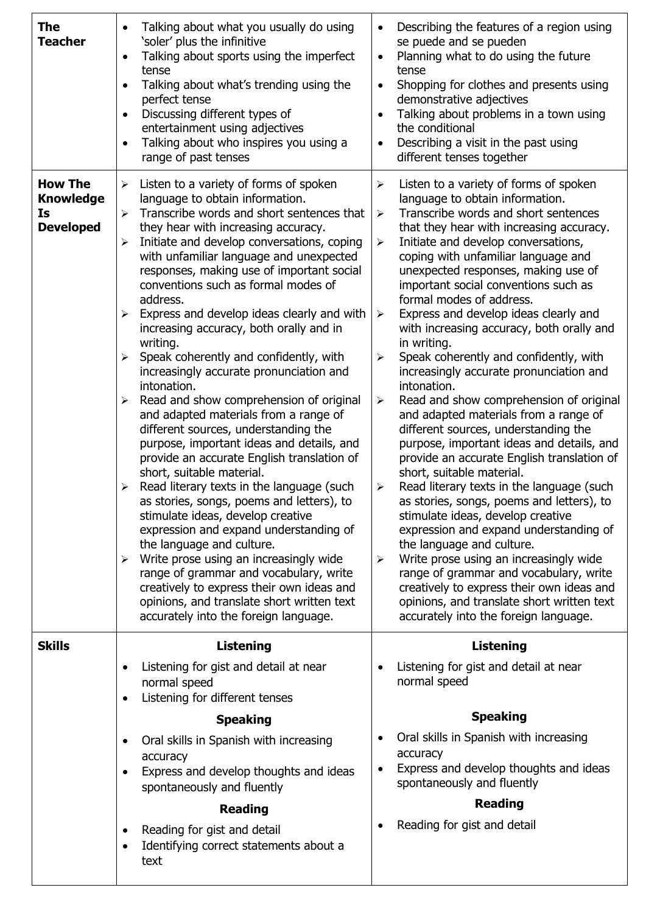| <b>The</b><br><b>Teacher</b>                                 | Talking about what you usually do using<br>'soler' plus the infinitive<br>Talking about sports using the imperfect<br>$\bullet$<br>tense<br>Talking about what's trending using the<br>perfect tense<br>Discussing different types of<br>$\bullet$<br>entertainment using adjectives<br>Talking about who inspires you using a<br>range of past tenses                                                                                                                                                                                                                                                                                                                                                                                                                                                                                                                                                                                                                                                                                                                                                                                                                                                                                                                                                                                                | Describing the features of a region using<br>$\bullet$<br>se puede and se pueden<br>Planning what to do using the future<br>$\bullet$<br>tense<br>Shopping for clothes and presents using<br>$\bullet$<br>demonstrative adjectives<br>Talking about problems in a town using<br>$\bullet$<br>the conditional<br>Describing a visit in the past using<br>$\bullet$<br>different tenses together                                                                                                                                                                                                                                                                                                                                                                                                                                                                                                                                                                                                                                                                                                                                                                                                                                                                                                                                                                                                                                        |
|--------------------------------------------------------------|-------------------------------------------------------------------------------------------------------------------------------------------------------------------------------------------------------------------------------------------------------------------------------------------------------------------------------------------------------------------------------------------------------------------------------------------------------------------------------------------------------------------------------------------------------------------------------------------------------------------------------------------------------------------------------------------------------------------------------------------------------------------------------------------------------------------------------------------------------------------------------------------------------------------------------------------------------------------------------------------------------------------------------------------------------------------------------------------------------------------------------------------------------------------------------------------------------------------------------------------------------------------------------------------------------------------------------------------------------|---------------------------------------------------------------------------------------------------------------------------------------------------------------------------------------------------------------------------------------------------------------------------------------------------------------------------------------------------------------------------------------------------------------------------------------------------------------------------------------------------------------------------------------------------------------------------------------------------------------------------------------------------------------------------------------------------------------------------------------------------------------------------------------------------------------------------------------------------------------------------------------------------------------------------------------------------------------------------------------------------------------------------------------------------------------------------------------------------------------------------------------------------------------------------------------------------------------------------------------------------------------------------------------------------------------------------------------------------------------------------------------------------------------------------------------|
| <b>How The</b><br><b>Knowledge</b><br>Is<br><b>Developed</b> | Listen to a variety of forms of spoken<br>$\blacktriangleright$<br>language to obtain information.<br>Transcribe words and short sentences that<br>➤<br>they hear with increasing accuracy.<br>Initiate and develop conversations, coping<br>➤<br>with unfamiliar language and unexpected<br>responses, making use of important social<br>conventions such as formal modes of<br>address.<br>Express and develop ideas clearly and with<br>$\blacktriangleright$<br>increasing accuracy, both orally and in<br>writing.<br>Speak coherently and confidently, with<br>➤<br>increasingly accurate pronunciation and<br>intonation.<br>Read and show comprehension of original<br>$\blacktriangleright$<br>and adapted materials from a range of<br>different sources, understanding the<br>purpose, important ideas and details, and<br>provide an accurate English translation of<br>short, suitable material.<br>Read literary texts in the language (such<br>➤<br>as stories, songs, poems and letters), to<br>stimulate ideas, develop creative<br>expression and expand understanding of<br>the language and culture.<br>Write prose using an increasingly wide<br>➤<br>range of grammar and vocabulary, write<br>creatively to express their own ideas and<br>opinions, and translate short written text<br>accurately into the foreign language. | Listen to a variety of forms of spoken<br>$\blacktriangleright$<br>language to obtain information.<br>Transcribe words and short sentences<br>$\blacktriangleright$<br>that they hear with increasing accuracy.<br>Initiate and develop conversations,<br>$\blacktriangleright$<br>coping with unfamiliar language and<br>unexpected responses, making use of<br>important social conventions such as<br>formal modes of address.<br>Express and develop ideas clearly and<br>$\blacktriangleright$<br>with increasing accuracy, both orally and<br>in writing.<br>Speak coherently and confidently, with<br>$\blacktriangleright$<br>increasingly accurate pronunciation and<br>intonation.<br>Read and show comprehension of original<br>$\blacktriangleright$<br>and adapted materials from a range of<br>different sources, understanding the<br>purpose, important ideas and details, and<br>provide an accurate English translation of<br>short, suitable material.<br>Read literary texts in the language (such<br>➤<br>as stories, songs, poems and letters), to<br>stimulate ideas, develop creative<br>expression and expand understanding of<br>the language and culture.<br>Write prose using an increasingly wide<br>$\blacktriangleright$<br>range of grammar and vocabulary, write<br>creatively to express their own ideas and<br>opinions, and translate short written text<br>accurately into the foreign language. |
| <b>Skills</b>                                                | <b>Listening</b>                                                                                                                                                                                                                                                                                                                                                                                                                                                                                                                                                                                                                                                                                                                                                                                                                                                                                                                                                                                                                                                                                                                                                                                                                                                                                                                                      | <b>Listening</b>                                                                                                                                                                                                                                                                                                                                                                                                                                                                                                                                                                                                                                                                                                                                                                                                                                                                                                                                                                                                                                                                                                                                                                                                                                                                                                                                                                                                                      |
|                                                              | Listening for gist and detail at near<br>$\bullet$<br>normal speed<br>Listening for different tenses<br>$\bullet$                                                                                                                                                                                                                                                                                                                                                                                                                                                                                                                                                                                                                                                                                                                                                                                                                                                                                                                                                                                                                                                                                                                                                                                                                                     | Listening for gist and detail at near<br>$\bullet$<br>normal speed                                                                                                                                                                                                                                                                                                                                                                                                                                                                                                                                                                                                                                                                                                                                                                                                                                                                                                                                                                                                                                                                                                                                                                                                                                                                                                                                                                    |
|                                                              | <b>Speaking</b>                                                                                                                                                                                                                                                                                                                                                                                                                                                                                                                                                                                                                                                                                                                                                                                                                                                                                                                                                                                                                                                                                                                                                                                                                                                                                                                                       | <b>Speaking</b>                                                                                                                                                                                                                                                                                                                                                                                                                                                                                                                                                                                                                                                                                                                                                                                                                                                                                                                                                                                                                                                                                                                                                                                                                                                                                                                                                                                                                       |
|                                                              | Oral skills in Spanish with increasing<br>accuracy<br>Express and develop thoughts and ideas<br>$\bullet$<br>spontaneously and fluently                                                                                                                                                                                                                                                                                                                                                                                                                                                                                                                                                                                                                                                                                                                                                                                                                                                                                                                                                                                                                                                                                                                                                                                                               | Oral skills in Spanish with increasing<br>$\bullet$<br>accuracy<br>Express and develop thoughts and ideas<br>$\bullet$<br>spontaneously and fluently                                                                                                                                                                                                                                                                                                                                                                                                                                                                                                                                                                                                                                                                                                                                                                                                                                                                                                                                                                                                                                                                                                                                                                                                                                                                                  |
|                                                              | <b>Reading</b>                                                                                                                                                                                                                                                                                                                                                                                                                                                                                                                                                                                                                                                                                                                                                                                                                                                                                                                                                                                                                                                                                                                                                                                                                                                                                                                                        | <b>Reading</b>                                                                                                                                                                                                                                                                                                                                                                                                                                                                                                                                                                                                                                                                                                                                                                                                                                                                                                                                                                                                                                                                                                                                                                                                                                                                                                                                                                                                                        |
|                                                              | Reading for gist and detail<br>$\bullet$<br>Identifying correct statements about a<br>text                                                                                                                                                                                                                                                                                                                                                                                                                                                                                                                                                                                                                                                                                                                                                                                                                                                                                                                                                                                                                                                                                                                                                                                                                                                            | Reading for gist and detail                                                                                                                                                                                                                                                                                                                                                                                                                                                                                                                                                                                                                                                                                                                                                                                                                                                                                                                                                                                                                                                                                                                                                                                                                                                                                                                                                                                                           |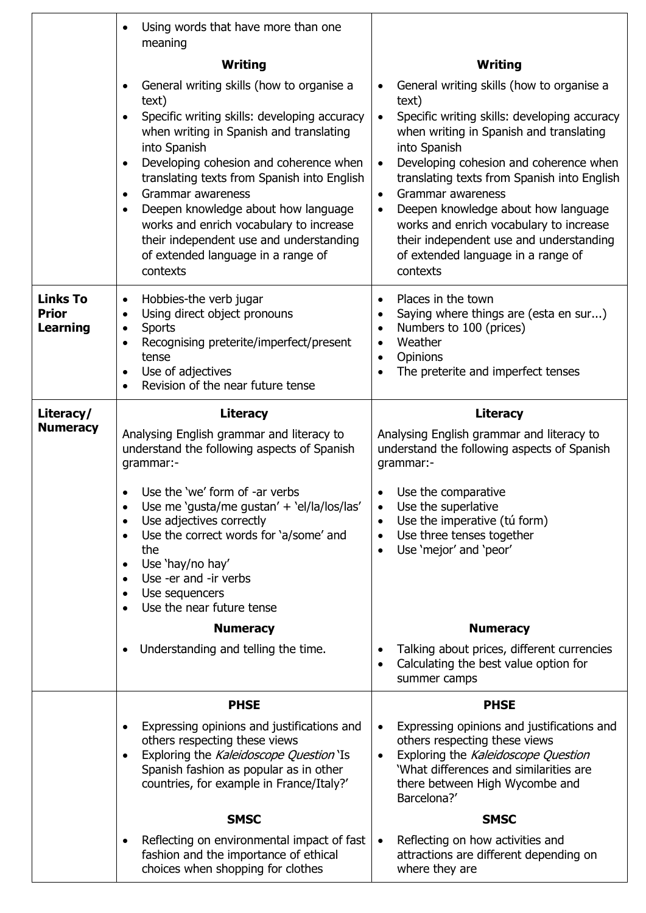|                                                    | Using words that have more than one<br>$\bullet$<br>meaning                                                                                                                                                                                            |                                                                                                                                                                                                                                         |
|----------------------------------------------------|--------------------------------------------------------------------------------------------------------------------------------------------------------------------------------------------------------------------------------------------------------|-----------------------------------------------------------------------------------------------------------------------------------------------------------------------------------------------------------------------------------------|
|                                                    | Writing                                                                                                                                                                                                                                                | Writing                                                                                                                                                                                                                                 |
|                                                    | General writing skills (how to organise a<br>$\bullet$                                                                                                                                                                                                 | General writing skills (how to organise a<br>$\bullet$                                                                                                                                                                                  |
|                                                    | text)<br>Specific writing skills: developing accuracy<br>$\bullet$<br>when writing in Spanish and translating<br>into Spanish                                                                                                                          | text)<br>Specific writing skills: developing accuracy<br>$\bullet$<br>when writing in Spanish and translating<br>into Spanish                                                                                                           |
|                                                    | Developing cohesion and coherence when<br>$\bullet$<br>translating texts from Spanish into English<br>Grammar awareness<br>$\bullet$<br>Deepen knowledge about how language<br>$\bullet$                                                               | Developing cohesion and coherence when<br>$\bullet$<br>translating texts from Spanish into English<br>Grammar awareness<br>$\bullet$<br>Deepen knowledge about how language<br>$\bullet$                                                |
|                                                    | works and enrich vocabulary to increase<br>their independent use and understanding<br>of extended language in a range of<br>contexts                                                                                                                   | works and enrich vocabulary to increase<br>their independent use and understanding<br>of extended language in a range of<br>contexts                                                                                                    |
| <b>Links To</b><br><b>Prior</b><br><b>Learning</b> | Hobbies-the verb jugar<br>$\bullet$<br>Using direct object pronouns<br>$\bullet$<br><b>Sports</b><br>$\bullet$<br>Recognising preterite/imperfect/present<br>$\bullet$<br>tense<br>Use of adjectives<br>$\bullet$<br>Revision of the near future tense | Places in the town<br>$\bullet$<br>Saying where things are (esta en sur)<br>$\bullet$<br>Numbers to 100 (prices)<br>$\bullet$<br>Weather<br>$\bullet$<br>Opinions<br>$\bullet$<br>The preterite and imperfect tenses<br>$\bullet$       |
| Literacy/                                          | <b>Literacy</b>                                                                                                                                                                                                                                        | <b>Literacy</b>                                                                                                                                                                                                                         |
| <b>Numeracy</b>                                    | Analysing English grammar and literacy to<br>understand the following aspects of Spanish<br>grammar:-                                                                                                                                                  | Analysing English grammar and literacy to<br>understand the following aspects of Spanish<br>grammar:-                                                                                                                                   |
|                                                    | Use the 'we' form of -ar verbs<br>Use me 'gusta/me gustan' + 'el/la/los/las'<br>$\bullet$<br>Use adjectives correctly<br>$\bullet$<br>Use the correct words for 'a/some' and<br>$\bullet$<br>the                                                       | Use the comparative<br>Use the superlative<br>٠<br>Use the imperative (tú form)<br>$\bullet$<br>Use three tenses together<br>$\bullet$<br>Use 'mejor' and 'peor'<br>$\bullet$                                                           |
|                                                    | Use 'hay/no hay'<br>$\bullet$<br>Use -er and -ir verbs<br>$\bullet$<br>Use sequencers<br>$\bullet$<br>Use the near future tense                                                                                                                        |                                                                                                                                                                                                                                         |
|                                                    | <b>Numeracy</b>                                                                                                                                                                                                                                        | <b>Numeracy</b>                                                                                                                                                                                                                         |
|                                                    | Understanding and telling the time.                                                                                                                                                                                                                    | Talking about prices, different currencies<br>Calculating the best value option for<br>$\bullet$<br>summer camps                                                                                                                        |
|                                                    | <b>PHSE</b>                                                                                                                                                                                                                                            | <b>PHSE</b>                                                                                                                                                                                                                             |
|                                                    | Expressing opinions and justifications and<br>others respecting these views<br>Exploring the Kaleidoscope Question 'Is<br>$\bullet$<br>Spanish fashion as popular as in other<br>countries, for example in France/Italy?'                              | Expressing opinions and justifications and<br>$\bullet$<br>others respecting these views<br>Exploring the Kaleidoscope Question<br>$\bullet$<br>'What differences and similarities are<br>there between High Wycombe and<br>Barcelona?' |
|                                                    | <b>SMSC</b>                                                                                                                                                                                                                                            | <b>SMSC</b>                                                                                                                                                                                                                             |
|                                                    | Reflecting on environmental impact of fast<br>fashion and the importance of ethical<br>choices when shopping for clothes                                                                                                                               | Reflecting on how activities and<br>$\bullet$<br>attractions are different depending on<br>where they are                                                                                                                               |